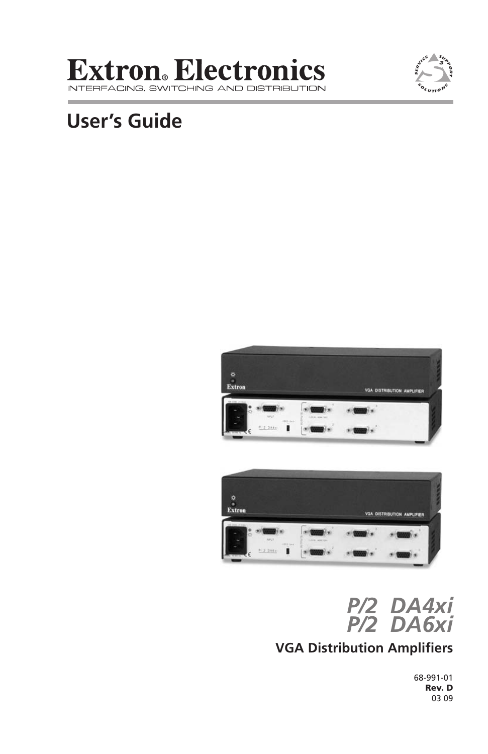#### **Extron**. Electronics **INTERFACIN** IG, SWITCHING AND DISTRIBUTION



# **User's Guide**







## **VGA Distribution Amplifiers**

68-991-01 Rev. D 03 09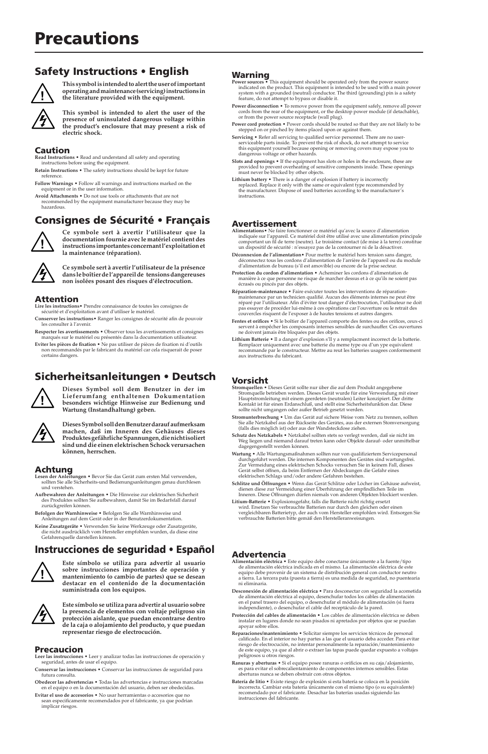#### Safety Instructions • English



**This symbol is intended to alert the user of important operating and maintenance (servicing) instructions in the literature provided with the equipment.** 

**This symbol is intended to alert the user of the presence of uninsulated dangerous voltage within the product's enclosure that may present a risk of electric shock.** 

#### Caution

**Read Instructions •** Read and understand all safety and operating **1 Instructions • read and understand**<br>istructions before using the equipment

- **Retain Instructions** The safety instructions should be kept for future
- reference. **Follow Warnings** Follow all warnings and instructions marked on the equipment or in the user information.
- **Avoid Attachments** Do not use tools or attachments that are not recommended by the equipment manufacturer because they may be hazardous.

#### Consignes de Sécurité • Français



**Ce symbole sert à avertir l'utilisateur que la documentation fournie avec le matériel contient des instructions importantes concernant l'exploitation et la maintenance (réparation).**

**Ce symbole sert à avertir l'utilisateur de la présence dans le boîtier de l'appareil de tensions dangereuses non isolées posant des risques d'électrocution.**

#### Attention

- **Lire les instructions•** Prendre connaissance de toutes les consignes de sécurité et d'exploitation avant d'utiliser le matériel.
- **Conserver les instructions•** Ranger les consignes de sécurité afin de pouvoir les consulter à l'avenir.

**Respecter les avertissements •** Observer tous les avertissements et consignes marqués sur le matériel ou présentés dans la documentation utilisateur.

**Eviter les pièces de fixation •** Ne pas utiliser de pièces de fixation ni d'outils non recommandés par le fabricant du matériel car cela risquerait de poser certains dangers.

#### Sicherheitsanleitungen • Deutsch **Dieses Symbol soll dem Benutzer in der im**



**Lieferumfang enthaltenen Dokumentation besonders wichtige Hinweise zur Bedienung und Wartung (Instandhaltung) geben. Dieses Symbol soll den Benutzer darauf aufmerksam machen, daß im Inneren des Gehäuses dieses Produktes gefährliche Spannungen, die nicht isoliert** 

**sind und die einen elektrischen Schock verursachen** 

Achtung

- **Lesen der Anleitungen**  Bevor Sie das Gerät zum ersten Mal verwenden, sollten Sie alle Sicherheits-und Bedienungsanleitungen genau durchlesen und verstehen.
- **Aufbewahren der Anleitungen**  Die Hinweise zur elektrischen Sicherheit des Produktes sollten Sie aufbewahren, damit Sie im Bedarfsfall darauf zurückgreifen können.
- **Befolgen der Warnhinweise**  Befolgen Sie alle Warnhinweise und Anleitungen auf dem Gerät oder in der Benutzerdokumentation.

**können, herrschen.**

**Keine Zusatzgeräte** • Verwenden Sie keine Werkzeuge oder Zusatzgeräte, die nicht ausdrücklich vom Hersteller empfohlen wurden, da diese eine Gefahrenquelle darstellen können.

#### Instrucciones de seguridad • Español



**Este símbolo se utiliza para advertir al usuario sobre instrucciones importantes de operación y mantenimiento (o cambio de partes) que se desean destacar en el contenido de la documentación suministrada con los equipos.**



**Este símbolo se utiliza para advertir al usuario sobre la presencia de elementos con voltaje peligroso sin protección aislante, que puedan encontrarse dentro de la caja o alojamiento del producto, y que puedan representar riesgo de electrocución.** 

#### Precaucion

- **Leer las instrucciones** Leer y analizar todas las instrucciones de operación y seguridad, antes de usar el equipo.
- **Conservar las instrucciones** Conservar las instrucciones de seguridad para futura consulta.
- **Obedecer las advertencias** Todas las advertencias e instrucciones marcadas en el equipo o en la documentación del usuario, deben ser obedecidas.
- **Evitar el uso de accesorios** No usar herramientas o accesorios que no sean especificamente recomendados por el fabricante, ya que podrian implicar riesgos.

#### **Warning**

- **Power sources •** This equipment should be operated only from the power source indicated on the product. This equipment is intended to be used with a main power system with a grounded (neutral) conductor. The third (ground
- **Power disconnection •** To remove power from the equipment safely, ren cords from the rear of the equipment, or the desktop power module (if detachable), or from the power source receptacle (wall plug).
- 
- Power cond protection Power cords should be routed so that they are not likely to be stepped on or pinched by items placed upon or against them.<br>
stepped on or pinched by items placed upon or against them.<br>
service perso
- **Slots and openings** If the equipment has slots or holes in the enclosure, these are provided to prevent overheating of sensitive components inside. These openings
- must never be blocked by other objects.<br>Lithium battery is incorrectly the replaced. Replace it only with the same or equivalent type recommended by<br>treplaced. Replace it only with the same or equivalent type recommended

#### Avertissement

- Alimentations Ne faire fonctionner ce matériel qu'avec la source d'alimentation<br>indiquée sur l'appareil. Ce matériel doit être utilisé avec une alimentation principale<br>comportant un fil de terre (neutre). Le troisième co
- un dispositif de sécurité : n'essayez pas de la contourner ni de la désactiver.<br>**Déconnexion de l'alimentation \*** Pour mettre le matériel hors tension sans danger,<br>déconnectez tous les cordons d'alimentation de l'arrière d
- **Protection du cordon d'alimentation** Acheminer les cordons d'alimentation de manière à ce que personne ne risque de marcher dessus et à ce qu'ils ne soient pas écrasés ou pincés par des objets.
- $\label{def:Rip} \textbf{R\'e}partialman \textbf{center} \textbf{new} = \textbf{Faire exécuter toutes} \textbf{less instructions} \textbf{der for a particular name, a particular name, a particular name, a particular name, a particular name, a particular name, a particular name, a particular name, a or a particular name, a case, a particular name, a or a particular course, a more: a particular course, a character is a particular sequence.} \textbf{Covvercles} \textbf{risquent de l'exposera a de hautes tensions et autres dangers.}$
- **Fentes et orifices •** Si le boîtier de l'appareil comporte des fentes ou des orifices, ceux-ci<br>servent à empêcher les composants internes sensibles de surchauffer. Ces ouvertures servent à empêcher les composants internes sensibles de surchauffer. Ces ouvertures ne doivent jamais être bloquées par des objets.
- Lithium Batterie Il a danger d'explosion s'Il y a remplacment incorrect de la batterie.<br>Remplacer uniquement avec une batterie du meme type ou d'un ype equivalent<br>ecommande par le constructeur. Mettre au reut les batteri aux instructions du fabricant.

#### Vorsicht

- $\begin{small} \textbf{Stromquellen} & \textbf{Dieses Gers} & \textbf{Set} & \textbf{Set} & \textbf{Set} & \textbf{Set} & \textbf{Set} & \textbf{Set} & \textbf{Set} \\ \textbf{Stromquellen} & \textbf{Dieses Gersit} & \textbf{Vectes Vurde für eine Verweindung mit einer Hauptsromleitungen, et einer derweindung mit einer Hauptsromleitungs mit einer Bersdeten (neutraleen) Leiter konzipert. Der dritte Konchleitsimktion dar. Diese solle nicht umgangen oder außer Betrieb gesetzt werden. \end{small}$
- Stromunterbrechung Um das Gerät auf sichere Weise vom Netz zu trennen, sollten<br>Sie alle Netzkabel aus der Rückseite des Gerätes, aus der externen Stomversorgung<br>(falls dies möglich ist) oder aus der Wandsteckdose ziehen.
- **Schutz des Netzkabels**  Netzkabel sollten stets so verlegt werden, daß sie nicht im Weg liegen und niemand darauf treten kann oder Objekte darauf- oder unmittelbar dagegengestellt werden können.
- Wartung  $\bullet$  Alle Wartungsmaßnahmen sollten nur von qualifiziertem Servicepersonal durchgeführt wereden. Die internen Komponenten des Gerätes sind wartungsfrei. Zur Vermeidung eines elektrischen Schocks versuchen Sie in k
- **Schlitze und Öffnungen •** Wenn das Gerät Schlitze oder Löcher im Gehäuse aufweist,<br>Intern diese zur Vermeidung einer Überhitzung der empfindlichen Teile im<br>Inneren. Diese Öffnungen dürfen niemals von anderen Objekten bloc
- Litium-Batterie Explosionsgefahr, falls die Batterie nicht richtig ersetzt<br>wird. Ersetzen Sie verbrauchte Batterien nur durch den gleichen oder einen<br>vergleichbaren Batterietyp, der auch vom Hersteller empfohlen wird. En

#### Advertencia

- Alimentación eléctrica Este equipo debe conectarse únicamente a la fuente/tipo<br>de alimentación eléctrica indicada en el mismo. La alimentación eléctrica de este<br>equipo debe provenir de un sistema de distribución general ni eliminaria.
- **Desconexión de alimentación eléctrica** Para desconectar con seguridad la acometida de alimentación eléctrica al equipo, desenchufar todos los cables de alimentación<br>en el panel trasero del equipo, o desenchufar el módulo de alimentación (si fuera<br>independiente), o desenchufar el cable del receptáculo de
- **Protección del cables de alimentación** Los cables de alimentación eléctrica se deben instalar en lugares donde no sean pisados ni apretados por objetos que se puedan apoyar sobre ellos.
- Reparaciones/mantenimiento · Solicitar siempre los servicios técnicos de pe calificado. En el interior no hay partes a las que el usuario deba acceder. Para evitar<br>riesgo de electrocución, no intentar personalmente la reparación/mantenimiento<br>de este equipo, ya que al abrir o extraer las tapas pue
- Ranuras y aberturas Si el equipo posee ranuras o oríficios en su caja/alojamiento, es para evitar el sobrecalientamiento de componentes internos sensibles. Estas aberturas nunca se deben obstruir con otros objetos.
- **Batería de litio •** Existe riesgo de explosión si esta batería se coloca en la posición<br>incorrecta. Cambiar esta batería únicamente con el mismo tipo (o su equivalente)<br>recomendado por el fabricante. Desachar las baterías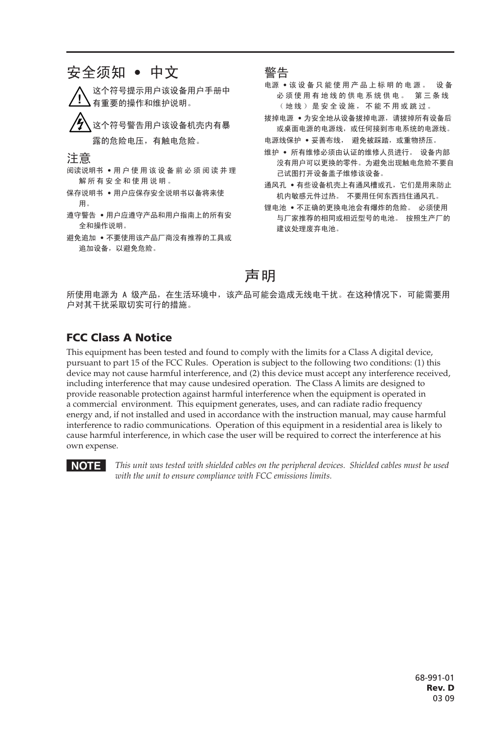

所使用电源为 A 级产品,在生活环境中,该产品可能会造成无线电干扰。在这种情况下,可能需要用 户对其干扰采取切实可行的措施。

#### FCC Class A Notice

This equipment has been tested and found to comply with the limits for a Class A digital device, pursuant to part 15 of the FCC Rules. Operation is subject to the following two conditions: (1) this device may not cause harmful interference, and (2) this device must accept any interference received, including interference that may cause undesired operation. The Class A limits are designed to provide reasonable protection against harmful interference when the equipment is operated in a commercial environment. This equipment generates, uses, and can radiate radio frequency energy and, if not installed and used in accordance with the instruction manual, may cause harmful interference to radio communications. Operation of this equipment in a residential area is likely to cause harmful interference, in which case the user will be required to correct the interference at his own expense.



N *This unit was tested with shielded cables on the peripheral devices. Shielded cables must be used with the unit to ensure compliance with FCC emissions limits.*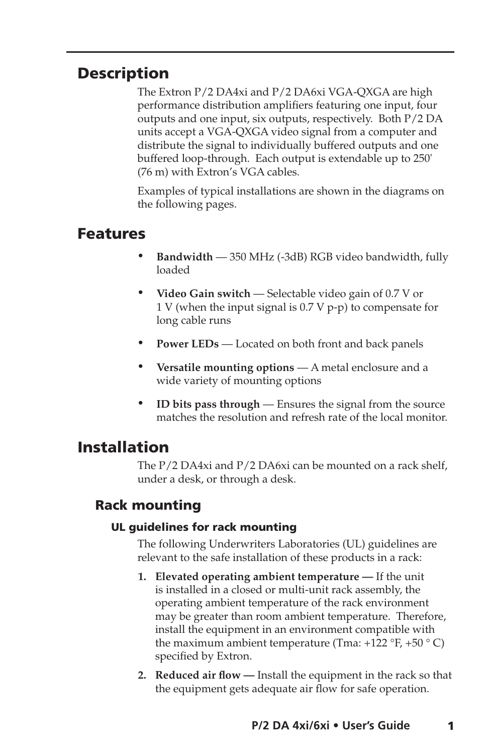## **Description**

The Extron P/2 DA4xi and P/2 DA6xi VGA-QXGA are high performance distribution amplifiers featuring one input, four outputs and one input, six outputs, respectively. Both P/2 DA units accept a VGA-QXGA video signal from a computer and distribute the signal to individually buffered outputs and one buffered loop-through. Each output is extendable up to 250' (76 m) with Extron's VGA cables.

Examples of typical installations are shown in the diagrams on the following pages.

## Features

- **Bandwidth** 350 MHz (-3dB) RGB video bandwidth, fully loaded
- • **Video Gain switch** Selectable video gain of 0.7 V or 1 V (when the input signal is 0.7 V p-p) to compensate for long cable runs
- **Power LEDs** Located on both front and back panels
- • **Versatile mounting options** A metal enclosure and a wide variety of mounting options
- • **ID bits pass through** Ensures the signal from the source matches the resolution and refresh rate of the local monitor.

## Installation

The P/2 DA4xi and P/2 DA6xi can be mounted on a rack shelf, under a desk, or through a desk.

## Rack mounting

#### UL guidelines for rack mounting

The following Underwriters Laboratories (UL) guidelines are relevant to the safe installation of these products in a rack:

- **1. Elevated operating ambient temperature —** If the unit is installed in a closed or multi-unit rack assembly, the operating ambient temperature of the rack environment may be greater than room ambient temperature. Therefore, install the equipment in an environment compatible with the maximum ambient temperature (Tma:  $+122$  °F,  $+50$  ° C) specified by Extron.
- **2. Reduced air flow —** Install the equipment in the rack so that the equipment gets adequate air flow for safe operation.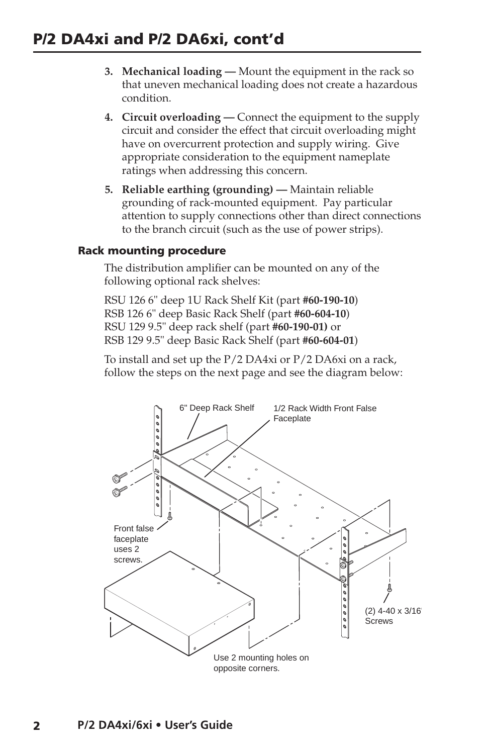- **3. Mechanical loading —** Mount the equipment in the rack so that uneven mechanical loading does not create a hazardous condition.
- **4. Circuit overloading —** Connect the equipment to the supply circuit and consider the effect that circuit overloading might have on overcurrent protection and supply wiring. Give appropriate consideration to the equipment nameplate ratings when addressing this concern.
- **5. Reliable earthing (grounding) —** Maintain reliable grounding of rack-mounted equipment. Pay particular attention to supply connections other than direct connections to the branch circuit (such as the use of power strips).

#### Rack mounting procedure

The distribution amplifier can be mounted on any of the following optional rack shelves:

RSU 126 6" deep 1U Rack Shelf Kit (part **#60-190-10**) RSB 126 6" deep Basic Rack Shelf (part **#60-604-10**) RSU 129 9.5" deep rack shelf (part **#60-190-01)** or RSB 129 9.5" deep Basic Rack Shelf (part **#60-604-01**)

To install and set up the P/2 DA4xi or P/2 DA6xi on a rack, follow the steps on the next page and see the diagram below:

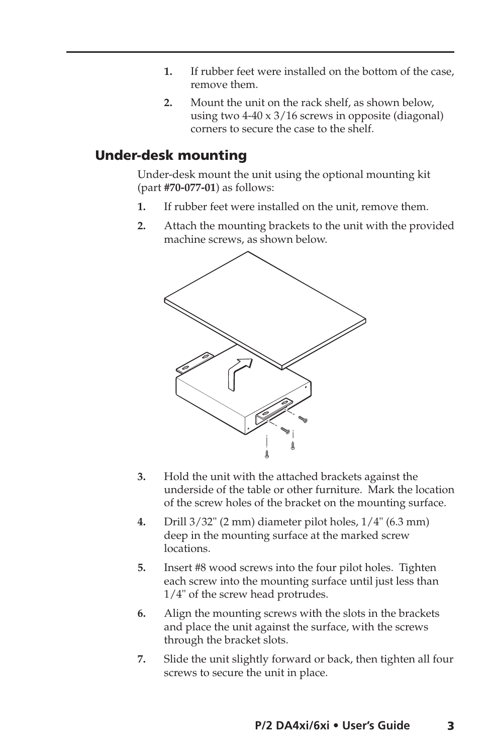- **1.** If rubber feet were installed on the bottom of the case, remove them.
- **2.** Mount the unit on the rack shelf, as shown below, using two 4-40 x 3/16 screws in opposite (diagonal) corners to secure the case to the shelf.

#### Under-desk mounting

Under-desk mount the unit using the optional mounting kit (part **#70-077-01**) as follows:

- **1.** If rubber feet were installed on the unit, remove them.
- **2.** Attach the mounting brackets to the unit with the provided machine screws, as shown below.



- **3.** Hold the unit with the attached brackets against the underside of the table or other furniture. Mark the location of the screw holes of the bracket on the mounting surface.
- **4.** Drill 3/32" (2 mm) diameter pilot holes, 1/4" (6.3 mm) deep in the mounting surface at the marked screw locations.
- **5.** Insert #8 wood screws into the four pilot holes. Tighten each screw into the mounting surface until just less than 1/4" of the screw head protrudes.
- **6.** Align the mounting screws with the slots in the brackets and place the unit against the surface, with the screws through the bracket slots.
- **7.** Slide the unit slightly forward or back, then tighten all four screws to secure the unit in place.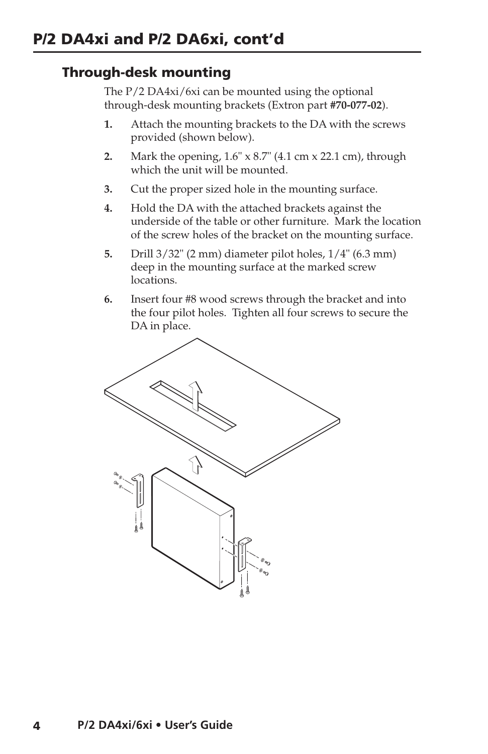## Through-desk mounting

The P/2 DA4xi/6xi can be mounted using the optional through-desk mounting brackets (Extron part **#70-077-02**).

- **1.** Attach the mounting brackets to the DA with the screws provided (shown below).
- **2.** Mark the opening, 1.6" x 8.7" (4.1 cm x 22.1 cm), through which the unit will be mounted.
- **3.** Cut the proper sized hole in the mounting surface.
- **4.** Hold the DA with the attached brackets against the underside of the table or other furniture. Mark the location of the screw holes of the bracket on the mounting surface.
- **5.** Drill 3/32" (2 mm) diameter pilot holes, 1/4" (6.3 mm) deep in the mounting surface at the marked screw locations.
- **6.** Insert four #8 wood screws through the bracket and into the four pilot holes. Tighten all four screws to secure the DA in place.

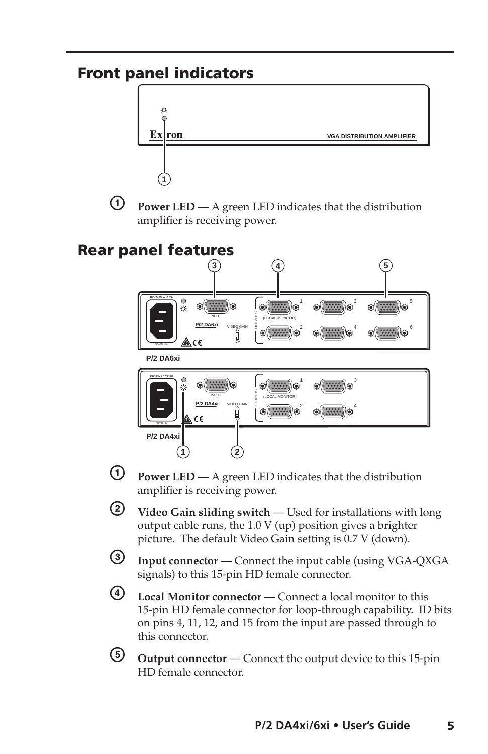## Front panel indicators



 $\Theta$  **Power LED** — A green LED indicates that the distribution amplifier is receiving power.





- **1** Power LED A green LED indicates that the distribution amplifier is receiving power.
- b **Video Gain sliding switch**  Used for installations with long output cable runs, the 1.0 V (up) position gives a brighter picture. The default Video Gain setting is 0.7 V (down).
- **3** Input connector Connect the input cable (using VGA-QXGA signals) to this 15-pin HD female connector.
- d **Local Monitor connector**  Connect a local monitor to this 15-pin HD female connector for loop-through capability. ID bits on pins 4, 11, 12, and 15 from the input are passed through to this connector.
- **6** Output connector Connect the output device to this 15-pin HD female connector.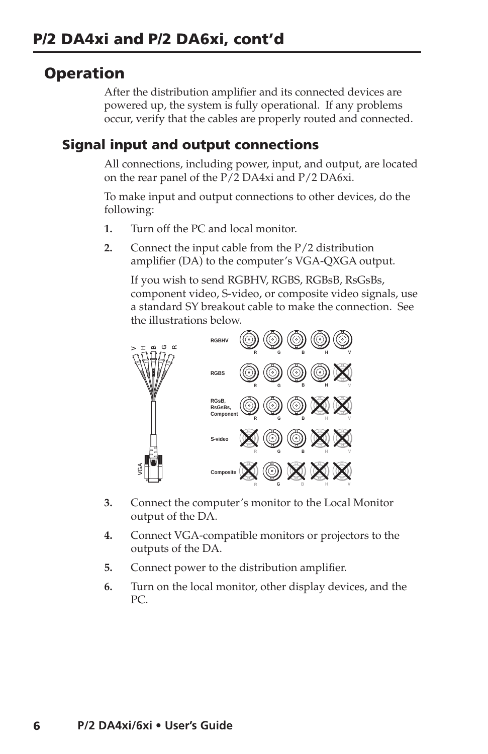## **Operation**

After the distribution amplifier and its connected devices are powered up, the system is fully operational. If any problems occur, verify that the cables are properly routed and connected.

#### Signal input and output connections

All connections, including power, input, and output, are located on the rear panel of the P/2 DA4xi and P/2 DA6xi.

To make input and output connections to other devices, do the following:

- **1.** Turn off the PC and local monitor.
- **2.** Connect the input cable from the P/2 distribution amplifier (DA) to the computer's VGA-QXGA output.

If you wish to send RGBHV, RGBS, RGBsB, RsGsBs, component video, S-video, or composite video signals, use a standard SY breakout cable to make the connection. See the illustrations below.



- **3.** Connect the computer's monitor to the Local Monitor output of the DA.
- **4.** Connect VGA-compatible monitors or projectors to the outputs of the DA.
- **5.** Connect power to the distribution amplifier.
- **6.** Turn on the local monitor, other display devices, and the PC.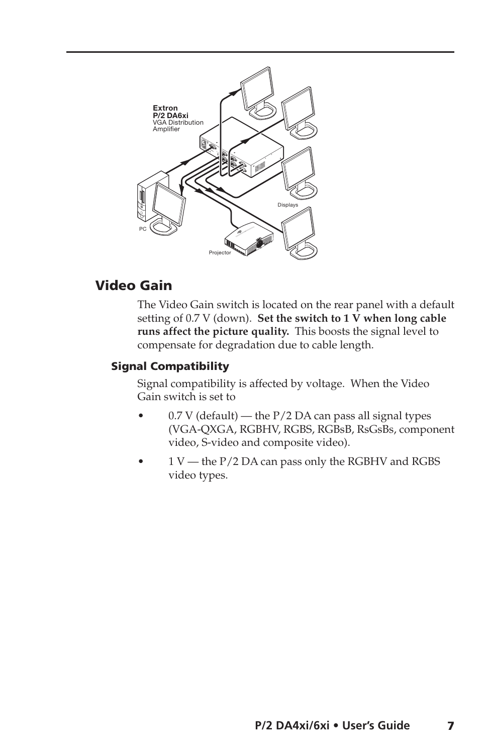

#### Video Gain

The Video Gain switch is located on the rear panel with a default setting of  $0.7$  V (down). Set the switch to  $1$  V when long cable **runs affect the picture quality.** This boosts the signal level to compensate for degradation due to cable length.

#### Signal Compatibility

Signal compatibility is affected by voltage. When the Video Gain switch is set to

- $0.7$  V (default) the  $P/2$  DA can pass all signal types (VGA-QXGA, RGBHV, RGBS, RGBsB, RsGsBs, component video, S-video and composite video).
- 1 V the P/2 DA can pass only the RGBHV and RGBS video types.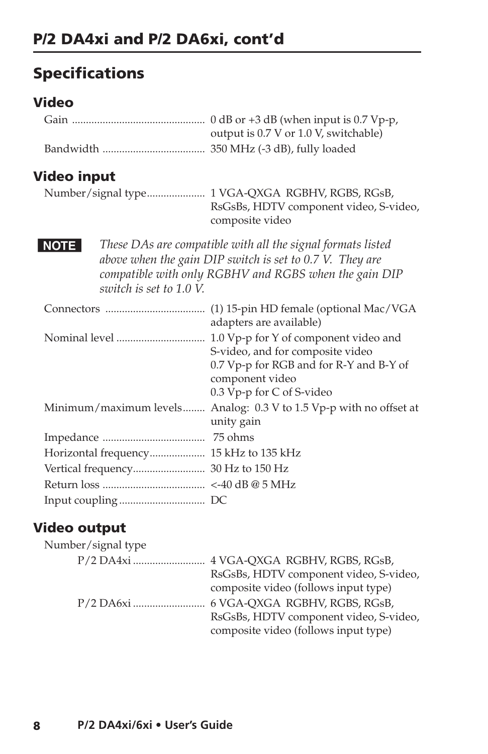## Specifications

## Video

|                                        | output is 0.7 V or 1.0 V, switchable)                                                                                                                                            |
|----------------------------------------|----------------------------------------------------------------------------------------------------------------------------------------------------------------------------------|
|                                        |                                                                                                                                                                                  |
| Video input                            |                                                                                                                                                                                  |
|                                        | Number/signal type 1 VGA-QXGA RGBHV, RGBS, RGsB,<br>RsGsBs, HDTV component video, S-video,<br>composite video                                                                    |
| <b>NOTE</b><br>switch is set to 1.0 V. | These DAs are compatible with all the signal formats listed<br>above when the gain DIP switch is set to 0.7 V. They are<br>compatible with only RGBHV and RGBS when the gain DIP |
|                                        | adapters are available)                                                                                                                                                          |
|                                        | S-video, and for composite video<br>0.7 Vp-p for RGB and for R-Y and B-Y of<br>component video<br>0.3 Vp-p for C of S-video                                                      |
|                                        | Minimum/maximum levels Analog: 0.3 V to 1.5 Vp-p with no offset at<br>unity gain                                                                                                 |
|                                        |                                                                                                                                                                                  |
| Horizontal frequency 15 kHz to 135 kHz |                                                                                                                                                                                  |
|                                        |                                                                                                                                                                                  |
|                                        |                                                                                                                                                                                  |
|                                        |                                                                                                                                                                                  |

## Video output

| Number/signal type |                                        |
|--------------------|----------------------------------------|
|                    |                                        |
|                    | RsGsBs, HDTV component video, S-video, |
|                    | composite video (follows input type)   |
|                    |                                        |
|                    | RsGsBs, HDTV component video, S-video, |
|                    | composite video (follows input type)   |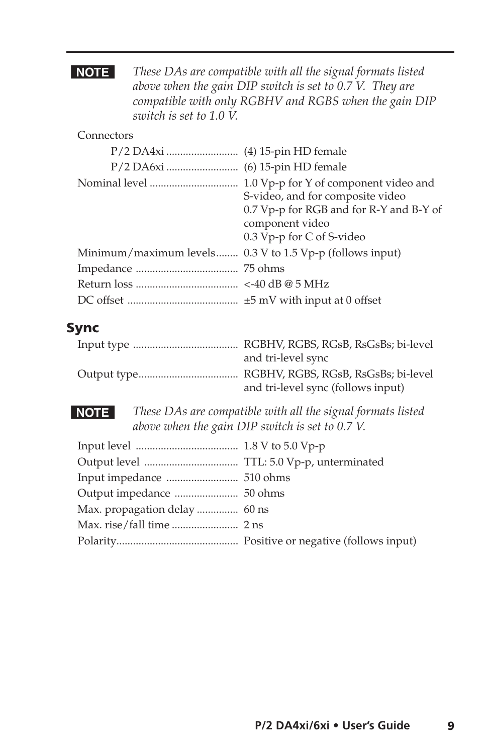**NOTE** These DAs are compatible with all the signal formats listed *above when the gain DIP switch is set to 0.7 V. They are compatible with only RGBHV and RGBS when the gain DIP switch is set to 1.0 V.*

#### Connectors

|                                                          | S-video, and for composite video<br>0.7 Vp-p for RGB and for R-Y and B-Y of<br>component video<br>0.3 Vp-p for C of S-video |
|----------------------------------------------------------|-----------------------------------------------------------------------------------------------------------------------------|
| Minimum/maximum levels 0.3 V to 1.5 Vp-p (follows input) |                                                                                                                             |
|                                                          |                                                                                                                             |
|                                                          |                                                                                                                             |
|                                                          |                                                                                                                             |

## Sync

| and tri-level sync                 |
|------------------------------------|
|                                    |
| and tri-level sync (follows input) |

**NOTE** These DAs are compatible with all the signal formats listed *above when the gain DIP switch is set to 0.7 V.*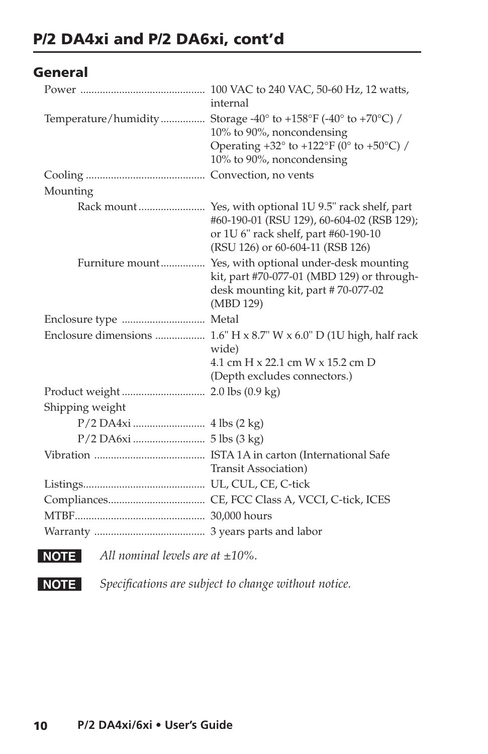## General

|                       | internal                                                                                                                                                |
|-----------------------|---------------------------------------------------------------------------------------------------------------------------------------------------------|
|                       | Temperature/humidity Storage -40° to +158°F (-40° to +70°C) /                                                                                           |
|                       | 10% to 90%, noncondensing                                                                                                                               |
|                       | Operating $+32^{\circ}$ to $+122^{\circ}F$ (0° to $+50^{\circ}C$ ) /                                                                                    |
|                       | 10% to 90%, noncondensing                                                                                                                               |
|                       |                                                                                                                                                         |
| Mounting              |                                                                                                                                                         |
|                       | #60-190-01 (RSU 129), 60-604-02 (RSB 129);<br>or 1U 6" rack shelf, part #60-190-10<br>(RSU 126) or 60-604-11 (RSB 126)                                  |
|                       | Furniture mount Yes, with optional under-desk mounting<br>kit, part #70-077-01 (MBD 129) or through-<br>desk mounting kit, part #70-077-02<br>(MBD 129) |
| Enclosure type  Metal |                                                                                                                                                         |
|                       | Enclosure dimensions  1.6" H x 8.7" W x 6.0" D (1U high, half rack<br>wide)                                                                             |
|                       | 4.1 cm H x 22.1 cm W x 15.2 cm D                                                                                                                        |
|                       | (Depth excludes connectors.)                                                                                                                            |
|                       |                                                                                                                                                         |
| Shipping weight       |                                                                                                                                                         |
|                       |                                                                                                                                                         |
|                       |                                                                                                                                                         |
|                       |                                                                                                                                                         |
|                       | Transit Association)                                                                                                                                    |
|                       |                                                                                                                                                         |
|                       |                                                                                                                                                         |
|                       |                                                                                                                                                         |
|                       |                                                                                                                                                         |
|                       |                                                                                                                                                         |

**NOTE** All nominal levels are at  $\pm 10\%$ .

**NOTE** Specifications are subject to change without notice.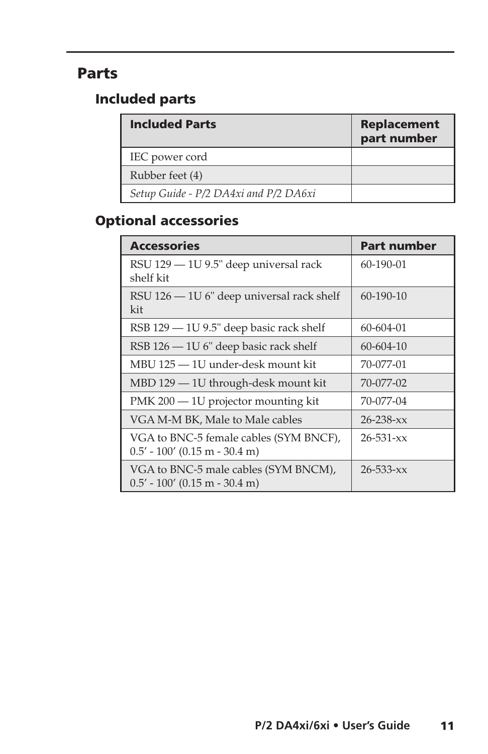## Parts

## Included parts

| <b>Included Parts</b>                 | <b>Replacement</b><br>part number |
|---------------------------------------|-----------------------------------|
| IEC power cord                        |                                   |
| Rubber feet (4)                       |                                   |
| Setup Guide - P/2 DA4xi and P/2 DA6xi |                                   |

## Optional accessories

| <b>Accessories</b>                                                        | Part number     |
|---------------------------------------------------------------------------|-----------------|
| RSU 129 - 1U 9.5" deep universal rack<br>shelf kit                        | 60-190-01       |
| RSU 126 - 1U 6" deep universal rack shelf<br>kit                          | 60-190-10       |
| RSB 129 – 1U 9.5" deep basic rack shelf                                   | 60-604-01       |
| $RSB 126 - 1U 6"$ deep basic rack shelf                                   | 60-604-10       |
| MBU 125 - 1U under-desk mount kit                                         | 70-077-01       |
| MBD 129 - 1U through-desk mount kit                                       | 70-077-02       |
| PMK 200 - 1U projector mounting kit                                       | 70-077-04       |
| VGA M-M BK, Male to Male cables                                           | $26 - 238 - xx$ |
| VGA to BNC-5 female cables (SYM BNCF),<br>$0.5' - 100'$ (0.15 m - 30.4 m) | $26 - 531 - xx$ |
| VGA to BNC-5 male cables (SYM BNCM),<br>$0.5'$ - 100' (0.15 m - 30.4 m)   | $26 - 533 - xx$ |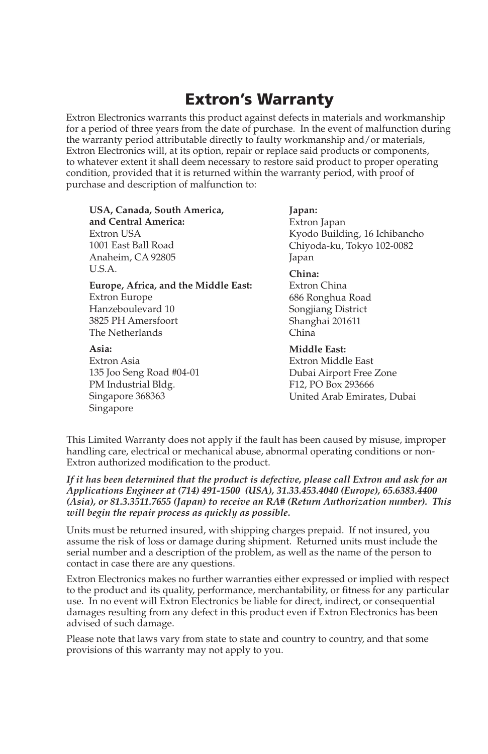## Extron's Warranty

Extron Electronics warrants this product against defects in materials and workmanship for a period of three years from the date of purchase. In the event of malfunction during the warranty period attributable directly to faulty workmanship and/or materials, Extron Electronics will, at its option, repair or replace said products or components, to whatever extent it shall deem necessary to restore said product to proper operating condition, provided that it is returned within the warranty period, with proof of purchase and description of malfunction to:

**USA, Canada, South America, and Central America:** Extron USA 1001 East Ball Road Anaheim, CA 92805 U.S.A.

**Europe, Africa, and the Middle East:** Extron Europe Hanzeboulevard 10 3825 PH Amersfoort The Netherlands

**Asia:** Extron Asia 135 Joo Seng Road #04-01 PM Industrial Bldg. Singapore 368363 Singapore

**Japan:**

Extron Japan Kyodo Building, 16 Ichibancho Chiyoda-ku, Tokyo 102-0082 Japan

**China:**

Extron China 686 Ronghua Road Songjiang District Shanghai 201611 China

**Middle East:** Extron Middle East Dubai Airport Free Zone F12, PO Box 293666 United Arab Emirates, Dubai

This Limited Warranty does not apply if the fault has been caused by misuse, improper handling care, electrical or mechanical abuse, abnormal operating conditions or non-Extron authorized modification to the product.

*If it has been determined that the product is defective, please call Extron and ask for an Applications Engineer at (714) 491-1500 (USA), 31.33.453.4040 (Europe), 65.6383.4400 (Asia), or 81.3.3511.7655 (Japan) to receive an RA# (Return Authorization number). This will begin the repair process as quickly as possible.* 

Units must be returned insured, with shipping charges prepaid. If not insured, you assume the risk of loss or damage during shipment. Returned units must include the serial number and a description of the problem, as well as the name of the person to contact in case there are any questions.

Extron Electronics makes no further warranties either expressed or implied with respect to the product and its quality, performance, merchantability, or fitness for any particular use. In no event will Extron Electronics be liable for direct, indirect, or consequential damages resulting from any defect in this product even if Extron Electronics has been advised of such damage.

Please note that laws vary from state to state and country to country, and that some provisions of this warranty may not apply to you.